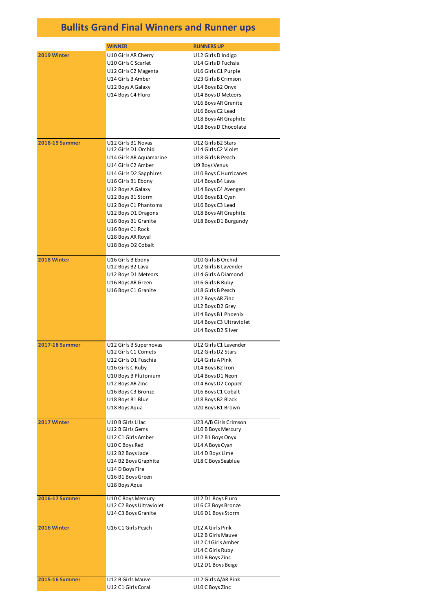## **Bullits Grand Final Winners and Runner ups**

|                       | <b>WINNER</b>                           | <b>RUNNERS UP</b>       |
|-----------------------|-----------------------------------------|-------------------------|
| 2019 Winter           | U10 Girls AR Cherry                     | U12 Girls D Indigo      |
|                       | U10 Girls C Scarlet                     | U14 Girls D Fuchsia     |
|                       | U12 Girls C2 Magenta                    | U16 Girls C1 Purple     |
|                       | U14 Girls B Amber                       | U23 Girls B Crimson     |
|                       | U12 Boys A Galaxy                       | U14 Boys B2 Onyx        |
|                       | U14 Boys C4 Fluro                       | U14 Boys D Meteors      |
|                       |                                         | U16 Boys AR Granite     |
|                       |                                         | U16 Boys C2 Lead        |
|                       |                                         | U18 Boys AR Graphite    |
|                       |                                         | U18 Boys D Chocolate    |
| <b>2018-19 Summer</b> | U12 Girls B1 Novas                      | U12 Girls B2 Stars      |
|                       | U12 Girls D1 Orchid                     | U14 Girls C2 Violet     |
|                       | U14 Girls AR Aquamarine                 | U18 Girls B Peach       |
|                       | U14 Girls C2 Amber                      | U9 Boys Venus           |
|                       | U14 Girls D2 Sapphires                  | U10 Boys C Hurricanes   |
|                       | U16 Girls B1 Ebony                      | U14 Boys B4 Lava        |
|                       | U12 Boys A Galaxy                       | U14 Boys C4 Avengers    |
|                       | U12 Boys B1 Storm                       | U16 Boys B1 Cyan        |
|                       | U12 Boys C1 Phantoms                    | U16 Boys C3 Lead        |
|                       | U12 Boys D1 Dragons                     | U18 Boys AR Graphite    |
|                       | U16 Boys B1 Granite                     | U18 Boys D1 Burgundy    |
|                       | U16 Boys C1 Rock                        |                         |
|                       | U18 Boys AR Royal<br>U18 Boys D2 Cobalt |                         |
|                       |                                         |                         |
| 2018 Winter           | U16 Girls B Ebony                       | U10 Girls B Orchid      |
|                       | U12 Boys B2 Lava                        | U12 Girls B Lavender    |
|                       | U12 Boys D1 Meteors                     | U14 Girls A Diamond     |
|                       | U16 Boys AR Green                       | U16 Girls B Ruby        |
|                       | U16 Boys C1 Granite                     | U18 Girls B Peach       |
|                       |                                         | U12 Boys AR Zinc        |
|                       |                                         | U12 Boys D2 Grey        |
|                       |                                         | U14 Boys B1 Phoenix     |
|                       |                                         | U14 Boys C3 Ultraviolet |
|                       |                                         | U14 Boys D2 Silver      |
| <b>2017-18 Summer</b> | U12 Girls B Supernovas                  | U12 Girls C1 Lavender   |
|                       | U12 Girls C1 Comets                     | U12 Girls D2 Stars      |
|                       | U12 Girls D1 Fuschia                    | U14 Girls A Pink        |
|                       | U16 Girls C Ruby                        | U14 Boys B2 Iron        |
|                       | U10 Boys B Plutonium                    | U14 Boys D1 Neon        |
|                       | U12 Boys AR Zinc                        | U14 Boys D2 Copper      |
|                       | U16 Boys C3 Bronze                      | U16 Boys C1 Cobalt      |
|                       | U18 Boys B1 Blue                        | U18 Boys B2 Black       |
|                       | U18 Boys Aqua                           | U20 Boys B1 Brown       |
| 2017 Winter           | U10 B Girls Lilac                       | U23 A/B Girls Crimson   |
|                       | U12 B Girls Gems                        | U10 B Boys Mercury      |
|                       | U12 C1 Girls Amber                      | U12 B1 Boys Onyx        |
|                       | U10 C Boys Red                          | U14 A Boys Cyan         |
|                       | U12 B2 Boys Jade                        | U14 D Boys Lime         |
|                       | U14 B2 Boys Graphite                    | U18 C Boys Seablue      |
|                       | U14 D Boys Fire<br>U16 B1 Boys Green    |                         |
|                       | U18 Boys Aqua                           |                         |
|                       |                                         |                         |
| <b>2016-17 Summer</b> | U10 C Boys Mercury                      | U12 D1 Boys Fluro       |
|                       | U12 C2 Boys Ultraviolet                 | U16 C3 Boys Bronze      |
|                       | U14 C3 Boys Granite                     | U16 D1 Boys Storm       |
| 2016 Winter           | U16 C1 Girls Peach                      | U12 A Girls Pink        |
|                       |                                         | U12 B Girls Mauve       |
|                       |                                         | U12 C1Girls Amber       |
|                       |                                         | U14 C Girls Ruby        |
|                       |                                         | U10 B Boys Zinc         |
|                       |                                         | U12 D1 Boys Beige       |
| <b>2015-16 Summer</b> | U12 B Girls Mauve                       | U12 Girls A/AR Pink     |
|                       | U12 C1 Girls Coral                      | U10 C Boys Zinc         |